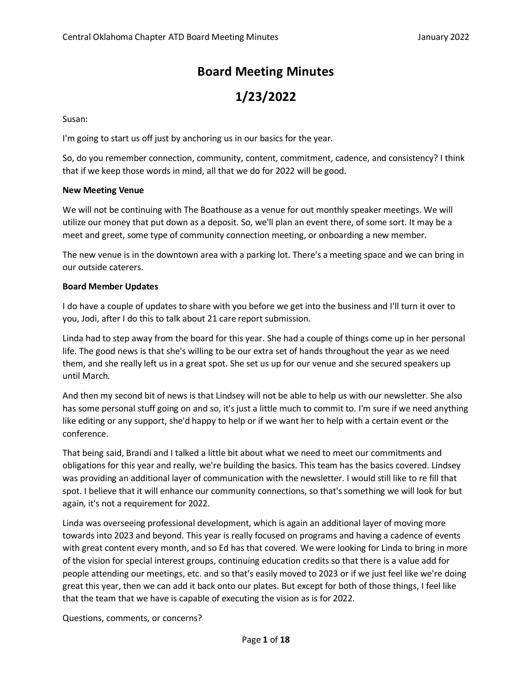# **Board Meeting Minutes**

# **1/23/2022**

Susan:

I'm going to start us off just by anchoring us in our basics for the year.

So, do you remember connection, community, content, commitment, cadence, and consistency? I think that if we keep those words in mind, all that we do for 2022 will be good.

## **New Meeting Venue**

We will not be continuing with The Boathouse as a venue for out monthly speaker meetings. We will utilize our money that put down as a deposit. So, we'll plan an event there, of some sort. It may be a meet and greet, some type of community connection meeting, or onboarding a new member.

The new venue is in the downtown area with a parking lot. There's a meeting space and we can bring in our outside caterers.

# **Board Member Updates**

I do have a couple of updates to share with you before we get into the business and I'll turn it over to you, Jodi, after I do this to talk about 21 care report submission.

Linda had to step away from the board for this year. She had a couple of things come up in her personal life. The good news is that she's willing to be our extra set of hands throughout the year as we need them, and she really left us in a great spot. She set us up for our venue and she secured speakers up until March.

And then my second bit of news is that Lindsey will not be able to help us with our newsletter. She also has some personal stuff going on and so, it's just a little much to commit to. I'm sure if we need anything like editing or any support, she'd happy to help or if we want her to help with a certain event or the conference.

That being said, Brandi and I talked a little bit about what we need to meet our commitments and obligations for this year and really, we're building the basics. This team has the basics covered. Lindsey was providing an additional layer of communication with the newsletter. I would still like to re fill that spot. I believe that it will enhance our community connections, so that's something we will look for but again, it's not a requirement for 2022.

Linda was overseeing professional development, which is again an additional layer of moving more towards into 2023 and beyond. This year is really focused on programs and having a cadence of events with great content every month, and so Ed has that covered. We were looking for Linda to bring in more of the vision for special interest groups, continuing education credits so that there is a value add for people attending our meetings, etc. and so that's easily moved to 2023 or if we just feel like we're doing great this year, then we can add it back onto our plates. But except for both of those things, I feel like that the team that we have is capable of executing the vision as is for 2022.

Questions, comments, or concerns?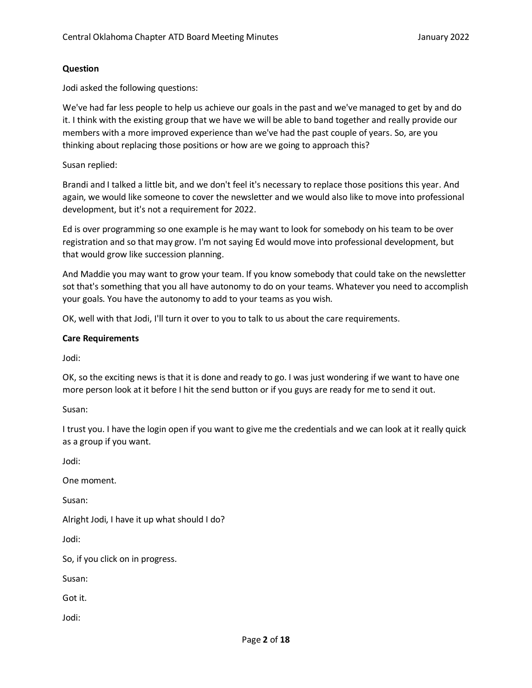## **Question**

Jodi asked the following questions:

We've had far less people to help us achieve our goals in the past and we've managed to get by and do it. I think with the existing group that we have we will be able to band together and really provide our members with a more improved experience than we've had the past couple of years. So, are you thinking about replacing those positions or how are we going to approach this?

## Susan replied:

Brandi and I talked a little bit, and we don't feel it's necessary to replace those positions this year. And again, we would like someone to cover the newsletter and we would also like to move into professional development, but it's not a requirement for 2022.

Ed is over programming so one example is he may want to look for somebody on his team to be over registration and so that may grow. I'm not saying Ed would move into professional development, but that would grow like succession planning.

And Maddie you may want to grow your team. If you know somebody that could take on the newsletter sot that's something that you all have autonomy to do on your teams. Whatever you need to accomplish your goals. You have the autonomy to add to your teams as you wish.

OK, well with that Jodi, I'll turn it over to you to talk to us about the care requirements.

## **Care Requirements**

Jodi:

OK, so the exciting news is that it is done and ready to go. I was just wondering if we want to have one more person look at it before I hit the send button or if you guys are ready for me to send it out.

Susan:

I trust you. I have the login open if you want to give me the credentials and we can look at it really quick as a group if you want.

Jodi:

One moment.

Susan:

Alright Jodi, I have it up what should I do?

Jodi:

So, if you click on in progress.

Susan:

Got it.

Jodi: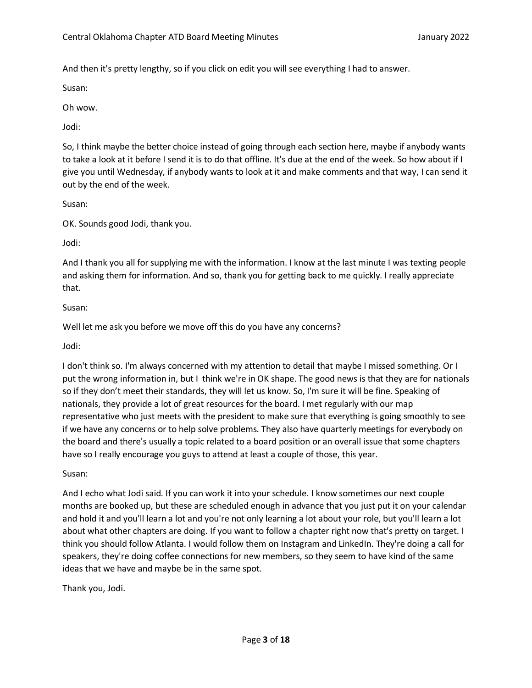And then it's pretty lengthy, so if you click on edit you will see everything I had to answer.

Susan:

Oh wow.

Jodi:

So, I think maybe the better choice instead of going through each section here, maybe if anybody wants to take a look at it before I send it is to do that offline. It's due at the end of the week. So how about if I give you until Wednesday, if anybody wants to look at it and make comments and that way, I can send it out by the end of the week.

Susan:

OK. Sounds good Jodi, thank you.

Jodi:

And I thank you all for supplying me with the information. I know at the last minute I was texting people and asking them for information. And so, thank you for getting back to me quickly. I really appreciate that.

# Susan:

Well let me ask you before we move off this do you have any concerns?

Jodi:

I don't think so. I'm always concerned with my attention to detail that maybe I missed something. Or I put the wrong information in, but I think we're in OK shape. The good news is that they are for nationals so if they don't meet their standards, they will let us know. So, I'm sure it will be fine. Speaking of nationals, they provide a lot of great resources for the board. I met regularly with our map representative who just meets with the president to make sure that everything is going smoothly to see if we have any concerns or to help solve problems. They also have quarterly meetings for everybody on the board and there's usually a topic related to a board position or an overall issue that some chapters have so I really encourage you guys to attend at least a couple of those, this year.

Susan:

And I echo what Jodi said. If you can work it into your schedule. I know sometimes our next couple months are booked up, but these are scheduled enough in advance that you just put it on your calendar and hold it and you'll learn a lot and you're not only learning a lot about your role, but you'll learn a lot about what other chapters are doing. If you want to follow a chapter right now that's pretty on target. I think you should follow Atlanta. I would follow them on Instagram and LinkedIn. They're doing a call for speakers, they're doing coffee connections for new members, so they seem to have kind of the same ideas that we have and maybe be in the same spot.

Thank you, Jodi.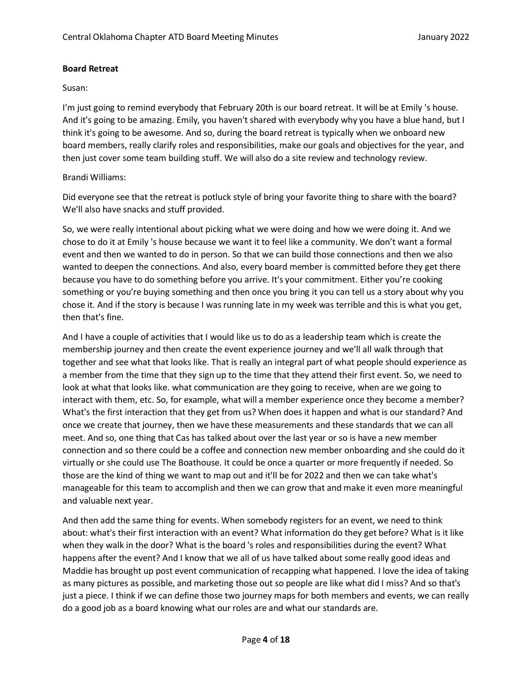# **Board Retreat**

# Susan:

I'm just going to remind everybody that February 20th is our board retreat. It will be at Emily 's house. And it's going to be amazing. Emily, you haven't shared with everybody why you have a blue hand, but I think it's going to be awesome. And so, during the board retreat is typically when we onboard new board members, really clarify roles and responsibilities, make our goals and objectives for the year, and then just cover some team building stuff. We will also do a site review and technology review.

# Brandi Williams:

Did everyone see that the retreat is potluck style of bring your favorite thing to share with the board? We'll also have snacks and stuff provided.

So, we were really intentional about picking what we were doing and how we were doing it. And we chose to do it at Emily 's house because we want it to feel like a community. We don't want a formal event and then we wanted to do in person. So that we can build those connections and then we also wanted to deepen the connections. And also, every board member is committed before they get there because you have to do something before you arrive. It's your commitment. Either you're cooking something or you're buying something and then once you bring it you can tell us a story about why you chose it. And if the story is because I was running late in my week was terrible and this is what you get, then that's fine.

And I have a couple of activities that I would like us to do as a leadership team which is create the membership journey and then create the event experience journey and we'll all walk through that together and see what that looks like. That is really an integral part of what people should experience as a member from the time that they sign up to the time that they attend their first event. So, we need to look at what that looks like. what communication are they going to receive, when are we going to interact with them, etc. So, for example, what will a member experience once they become a member? What's the first interaction that they get from us? When does it happen and what is our standard? And once we create that journey, then we have these measurements and these standards that we can all meet. And so, one thing that Cas has talked about over the last year or so is have a new member connection and so there could be a coffee and connection new member onboarding and she could do it virtually or she could use The Boathouse. It could be once a quarter or more frequently if needed. So those are the kind of thing we want to map out and it'll be for 2022 and then we can take what's manageable for this team to accomplish and then we can grow that and make it even more meaningful and valuable next year.

And then add the same thing for events. When somebody registers for an event, we need to think about: what's their first interaction with an event? What information do they get before? What is it like when they walk in the door? What is the board 's roles and responsibilities during the event? What happens after the event? And I know that we all of us have talked about some really good ideas and Maddie has brought up post event communication of recapping what happened. I love the idea of taking as many pictures as possible, and marketing those out so people are like what did I miss? And so that's just a piece. I think if we can define those two journey maps for both members and events, we can really do a good job as a board knowing what our roles are and what our standards are.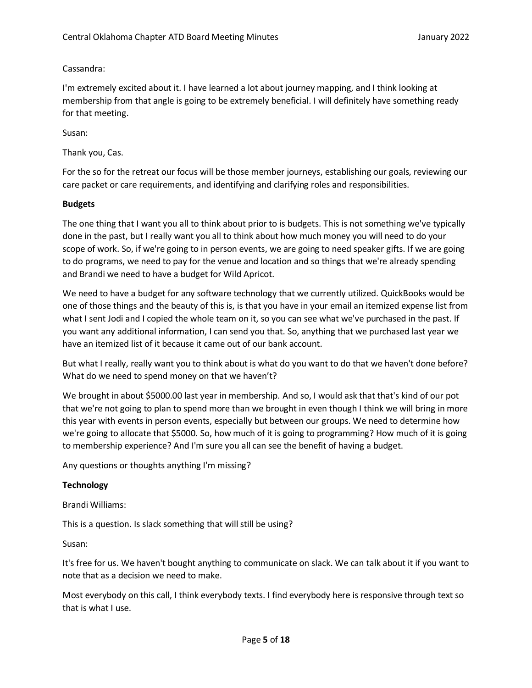Cassandra:

I'm extremely excited about it. I have learned a lot about journey mapping, and I think looking at membership from that angle is going to be extremely beneficial. I will definitely have something ready for that meeting.

Susan:

Thank you, Cas.

For the so for the retreat our focus will be those member journeys, establishing our goals, reviewing our care packet or care requirements, and identifying and clarifying roles and responsibilities.

## **Budgets**

The one thing that I want you all to think about prior to is budgets. This is not something we've typically done in the past, but I really want you all to think about how much money you will need to do your scope of work. So, if we're going to in person events, we are going to need speaker gifts. If we are going to do programs, we need to pay for the venue and location and so things that we're already spending and Brandi we need to have a budget for Wild Apricot.

We need to have a budget for any software technology that we currently utilized. QuickBooks would be one of those things and the beauty of this is, is that you have in your email an itemized expense list from what I sent Jodi and I copied the whole team on it, so you can see what we've purchased in the past. If you want any additional information, I can send you that. So, anything that we purchased last year we have an itemized list of it because it came out of our bank account.

But what I really, really want you to think about is what do you want to do that we haven't done before? What do we need to spend money on that we haven't?

We brought in about \$5000.00 last year in membership. And so, I would ask that that's kind of our pot that we're not going to plan to spend more than we brought in even though I think we will bring in more this year with events in person events, especially but between our groups. We need to determine how we're going to allocate that \$5000. So, how much of it is going to programming? How much of it is going to membership experience? And I'm sure you all can see the benefit of having a budget.

Any questions or thoughts anything I'm missing?

# **Technology**

Brandi Williams:

This is a question. Is slack something that will still be using?

Susan:

It's free for us. We haven't bought anything to communicate on slack. We can talk about it if you want to note that as a decision we need to make.

Most everybody on this call, I think everybody texts. I find everybody here is responsive through text so that is what I use.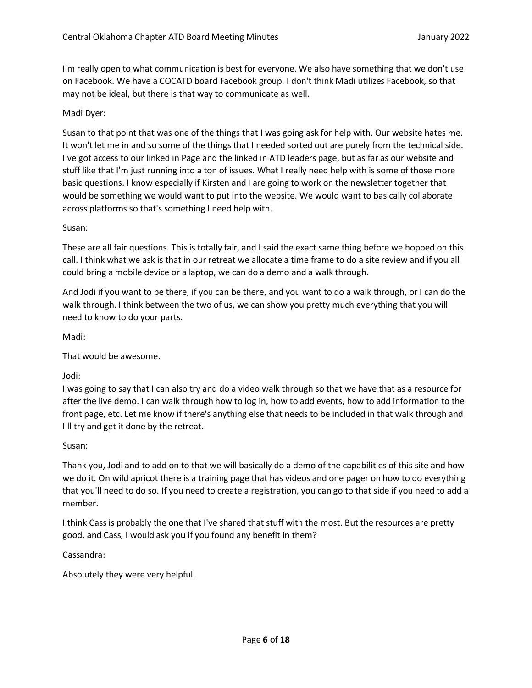I'm really open to what communication is best for everyone. We also have something that we don't use on Facebook. We have a COCATD board Facebook group. I don't think Madi utilizes Facebook, so that may not be ideal, but there is that way to communicate as well.

# Madi Dyer:

Susan to that point that was one of the things that I was going ask for help with. Our website hates me. It won't let me in and so some of the things that I needed sorted out are purely from the technical side. I've got access to our linked in Page and the linked in ATD leaders page, but as far as our website and stuff like that I'm just running into a ton of issues. What I really need help with is some of those more basic questions. I know especially if Kirsten and I are going to work on the newsletter together that would be something we would want to put into the website. We would want to basically collaborate across platforms so that's something I need help with.

#### Susan:

These are all fair questions. This is totally fair, and I said the exact same thing before we hopped on this call. I think what we ask is that in our retreat we allocate a time frame to do a site review and if you all could bring a mobile device or a laptop, we can do a demo and a walk through.

And Jodi if you want to be there, if you can be there, and you want to do a walk through, or I can do the walk through. I think between the two of us, we can show you pretty much everything that you will need to know to do your parts.

Madi:

That would be awesome.

Jodi:

I was going to say that I can also try and do a video walk through so that we have that as a resource for after the live demo. I can walk through how to log in, how to add events, how to add information to the front page, etc. Let me know if there's anything else that needs to be included in that walk through and I'll try and get it done by the retreat.

Susan:

Thank you, Jodi and to add on to that we will basically do a demo of the capabilities of this site and how we do it. On wild apricot there is a training page that has videos and one pager on how to do everything that you'll need to do so. If you need to create a registration, you can go to that side if you need to add a member.

I think Cassis probably the one that I've shared that stuff with the most. But the resources are pretty good, and Cass, I would ask you if you found any benefit in them?

Cassandra:

Absolutely they were very helpful.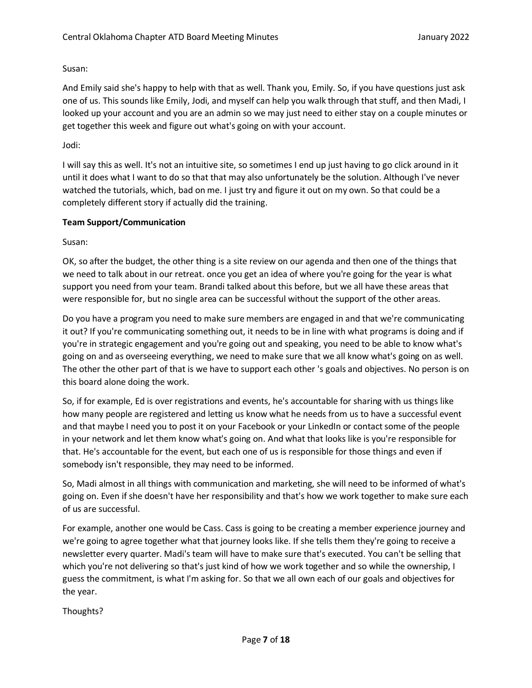Susan:

And Emily said she's happy to help with that as well. Thank you, Emily. So, if you have questions just ask one of us. This sounds like Emily, Jodi, and myself can help you walk through that stuff, and then Madi, I looked up your account and you are an admin so we may just need to either stay on a couple minutes or get together this week and figure out what's going on with your account.

Jodi:

I will say this as well. It's not an intuitive site, so sometimes I end up just having to go click around in it until it does what I want to do so that that may also unfortunately be the solution. Although I've never watched the tutorials, which, bad on me. I just try and figure it out on my own. So that could be a completely different story if actually did the training.

# **Team Support/Communication**

Susan:

OK, so after the budget, the other thing is a site review on our agenda and then one of the things that we need to talk about in our retreat. once you get an idea of where you're going for the year is what support you need from your team. Brandi talked about this before, but we all have these areas that were responsible for, but no single area can be successful without the support of the other areas.

Do you have a program you need to make sure members are engaged in and that we're communicating it out? If you're communicating something out, it needs to be in line with what programs is doing and if you're in strategic engagement and you're going out and speaking, you need to be able to know what's going on and as overseeing everything, we need to make sure that we all know what's going on as well. The other the other part of that is we have to support each other 's goals and objectives. No person is on this board alone doing the work.

So, if for example, Ed is over registrations and events, he's accountable for sharing with us things like how many people are registered and letting us know what he needs from us to have a successful event and that maybe I need you to post it on your Facebook or your LinkedIn or contact some of the people in your network and let them know what's going on. And what that looks like is you're responsible for that. He's accountable for the event, but each one of us is responsible for those things and even if somebody isn't responsible, they may need to be informed.

So, Madi almost in all things with communication and marketing, she will need to be informed of what's going on. Even if she doesn't have her responsibility and that's how we work together to make sure each of us are successful.

For example, another one would be Cass. Cass is going to be creating a member experience journey and we're going to agree together what that journey looks like. If she tells them they're going to receive a newsletter every quarter. Madi's team will have to make sure that's executed. You can't be selling that which you're not delivering so that's just kind of how we work together and so while the ownership, I guess the commitment, is what I'm asking for. So that we all own each of our goals and objectives for the year.

Thoughts?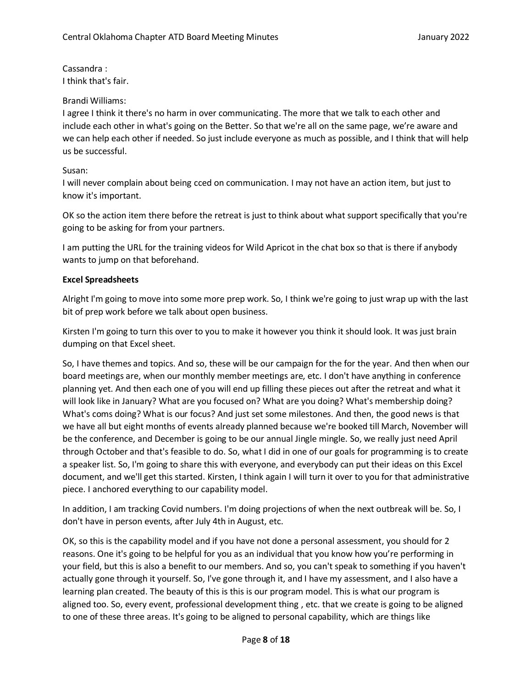Cassandra : I think that's fair.

## Brandi Williams:

I agree I think it there's no harm in over communicating. The more that we talk to each other and include each other in what's going on the Better. So that we're all on the same page, we're aware and we can help each other if needed. So just include everyone as much as possible, and I think that will help us be successful.

# Susan:

I will never complain about being cced on communication. I may not have an action item, but just to know it's important.

OK so the action item there before the retreat is just to think about what support specifically that you're going to be asking for from your partners.

I am putting the URL for the training videos for Wild Apricot in the chat box so that is there if anybody wants to jump on that beforehand.

# **Excel Spreadsheets**

Alright I'm going to move into some more prep work. So, I think we're going to just wrap up with the last bit of prep work before we talk about open business.

Kirsten I'm going to turn this over to you to make it however you think it should look. It was just brain dumping on that Excel sheet.

So, I have themes and topics. And so, these will be our campaign for the for the year. And then when our board meetings are, when our monthly member meetings are, etc. I don't have anything in conference planning yet. And then each one of you will end up filling these pieces out after the retreat and what it will look like in January? What are you focused on? What are you doing? What's membership doing? What's coms doing? What is our focus? And just set some milestones. And then, the good news is that we have all but eight months of events already planned because we're booked till March, November will be the conference, and December is going to be our annual Jingle mingle. So, we really just need April through October and that's feasible to do. So, what I did in one of our goals for programming is to create a speaker list. So, I'm going to share this with everyone, and everybody can put their ideas on this Excel document, and we'll get this started. Kirsten, I think again I will turn it over to you for that administrative piece. I anchored everything to our capability model.

In addition, I am tracking Covid numbers. I'm doing projections of when the next outbreak will be. So, I don't have in person events, after July 4th in August, etc.

OK, so this is the capability model and if you have not done a personal assessment, you should for 2 reasons. One it's going to be helpful for you as an individual that you know how you're performing in your field, but this is also a benefit to our members. And so, you can't speak to something if you haven't actually gone through it yourself. So, I've gone through it, and I have my assessment, and I also have a learning plan created. The beauty of this is this is our program model. This is what our program is aligned too. So, every event, professional development thing , etc. that we create is going to be aligned to one of these three areas. It's going to be aligned to personal capability, which are things like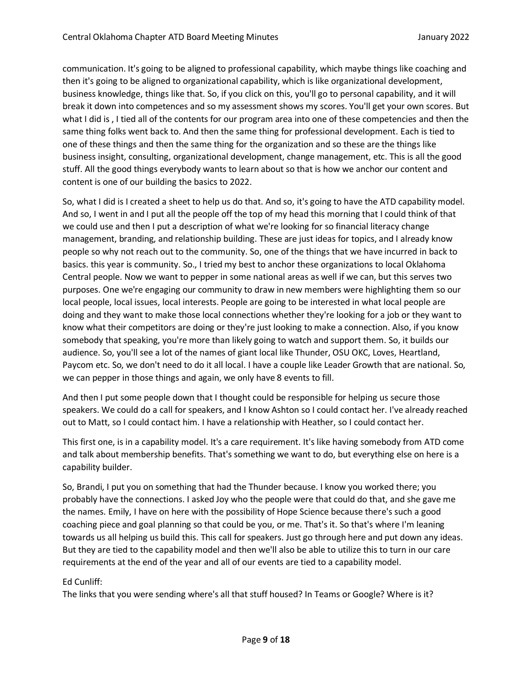communication. It's going to be aligned to professional capability, which maybe things like coaching and then it's going to be aligned to organizational capability, which is like organizational development, business knowledge, things like that. So, if you click on this, you'll go to personal capability, and it will break it down into competences and so my assessment shows my scores. You'll get your own scores. But what I did is , I tied all of the contents for our program area into one of these competencies and then the same thing folks went back to. And then the same thing for professional development. Each is tied to one of these things and then the same thing for the organization and so these are the things like business insight, consulting, organizational development, change management, etc. This is all the good stuff. All the good things everybody wants to learn about so that is how we anchor our content and content is one of our building the basics to 2022.

So, what I did is I created a sheet to help us do that. And so, it's going to have the ATD capability model. And so, I went in and I put all the people off the top of my head this morning that I could think of that we could use and then I put a description of what we're looking for so financial literacy change management, branding, and relationship building. These are just ideas for topics, and I already know people so why not reach out to the community. So, one of the things that we have incurred in back to basics. this year is community. So., I tried my best to anchor these organizations to local Oklahoma Central people. Now we want to pepper in some national areas as well if we can, but this serves two purposes. One we're engaging our community to draw in new members were highlighting them so our local people, local issues, local interests. People are going to be interested in what local people are doing and they want to make those local connections whether they're looking for a job or they want to know what their competitors are doing or they're just looking to make a connection. Also, if you know somebody that speaking, you're more than likely going to watch and support them. So, it builds our audience. So, you'll see a lot of the names of giant local like Thunder, OSU OKC, Loves, Heartland, Paycom etc. So, we don't need to do it all local. I have a couple like Leader Growth that are national. So, we can pepper in those things and again, we only have 8 events to fill.

And then I put some people down that I thought could be responsible for helping us secure those speakers. We could do a call for speakers, and I know Ashton so I could contact her. I've already reached out to Matt, so I could contact him. I have a relationship with Heather, so I could contact her.

This first one, is in a capability model. It's a care requirement. It's like having somebody from ATD come and talk about membership benefits. That's something we want to do, but everything else on here is a capability builder.

So, Brandi, I put you on something that had the Thunder because. I know you worked there; you probably have the connections. I asked Joy who the people were that could do that, and she gave me the names. Emily, I have on here with the possibility of Hope Science because there's such a good coaching piece and goal planning so that could be you, or me. That's it. So that's where I'm leaning towards us all helping us build this. This call for speakers. Just go through here and put down any ideas. But they are tied to the capability model and then we'll also be able to utilize this to turn in our care requirements at the end of the year and all of our events are tied to a capability model.

# Ed Cunliff:

The links that you were sending where's all that stuff housed? In Teams or Google? Where is it?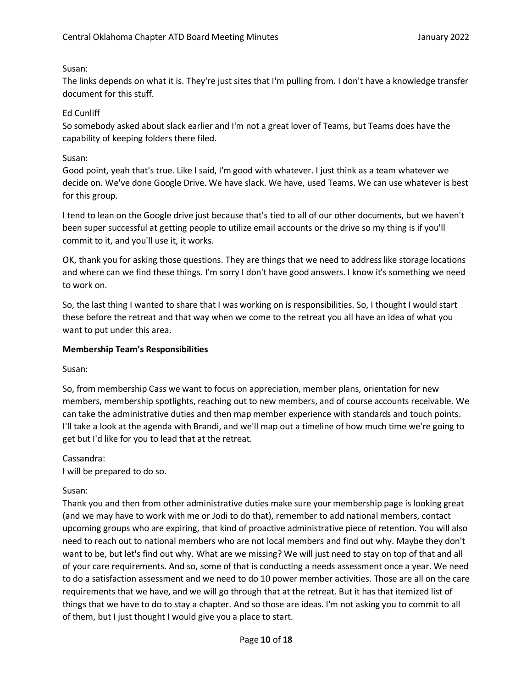# Susan:

The links depends on what it is. They're just sites that I'm pulling from. I don't have a knowledge transfer document for this stuff.

# Ed Cunliff

So somebody asked about slack earlier and I'm not a great lover of Teams, but Teams does have the capability of keeping folders there filed.

# Susan:

Good point, yeah that's true. Like I said, I'm good with whatever. I just think as a team whatever we decide on. We've done Google Drive. We have slack. We have, used Teams. We can use whatever is best for this group.

I tend to lean on the Google drive just because that's tied to all of our other documents, but we haven't been super successful at getting people to utilize email accounts or the drive so my thing is if you'll commit to it, and you'll use it, it works.

OK, thank you for asking those questions. They are things that we need to address like storage locations and where can we find these things. I'm sorry I don't have good answers. I know it's something we need to work on.

So, the last thing I wanted to share that I was working on is responsibilities. So, I thought I would start these before the retreat and that way when we come to the retreat you all have an idea of what you want to put under this area.

## **Membership Team's Responsibilities**

Susan:

So, from membership Cass we want to focus on appreciation, member plans, orientation for new members, membership spotlights, reaching out to new members, and of course accounts receivable. We can take the administrative duties and then map member experience with standards and touch points. I'll take a look at the agenda with Brandi, and we'll map out a timeline of how much time we're going to get but I'd like for you to lead that at the retreat.

Cassandra: I will be prepared to do so.

## Susan:

Thank you and then from other administrative duties make sure your membership page is looking great (and we may have to work with me or Jodi to do that), remember to add national members, contact upcoming groups who are expiring, that kind of proactive administrative piece of retention. You will also need to reach out to national members who are not local members and find out why. Maybe they don't want to be, but let's find out why. What are we missing? We will just need to stay on top of that and all of your care requirements. And so, some of that is conducting a needs assessment once a year. We need to do a satisfaction assessment and we need to do 10 power member activities. Those are all on the care requirements that we have, and we will go through that at the retreat. But it has that itemized list of things that we have to do to stay a chapter. And so those are ideas. I'm not asking you to commit to all of them, but I just thought I would give you a place to start.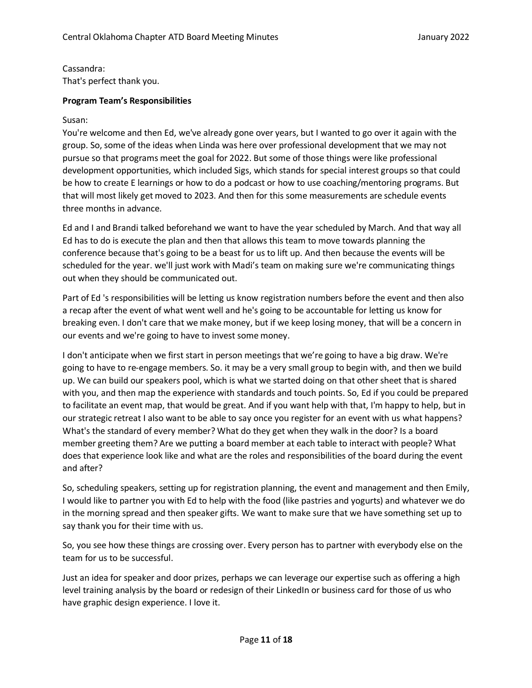Cassandra: That's perfect thank you.

# **Program Team's Responsibilities**

## Susan:

You're welcome and then Ed, we've already gone over years, but I wanted to go over it again with the group. So, some of the ideas when Linda was here over professional development that we may not pursue so that programs meet the goal for 2022. But some of those things were like professional development opportunities, which included Sigs, which stands for special interest groups so that could be how to create E learnings or how to do a podcast or how to use coaching/mentoring programs. But that will most likely get moved to 2023. And then for this some measurements are schedule events three months in advance.

Ed and I and Brandi talked beforehand we want to have the year scheduled by March. And that way all Ed has to do is execute the plan and then that allows this team to move towards planning the conference because that's going to be a beast for us to lift up. And then because the events will be scheduled for the year. we'll just work with Madi's team on making sure we're communicating things out when they should be communicated out.

Part of Ed 's responsibilities will be letting us know registration numbers before the event and then also a recap after the event of what went well and he's going to be accountable for letting us know for breaking even. I don't care that we make money, but if we keep losing money, that will be a concern in our events and we're going to have to invest some money.

I don't anticipate when we first start in person meetings that we're going to have a big draw. We're going to have to re-engage members. So. it may be a very small group to begin with, and then we build up. We can build our speakers pool, which is what we started doing on that other sheet that is shared with you, and then map the experience with standards and touch points. So, Ed if you could be prepared to facilitate an event map, that would be great. And if you want help with that, I'm happy to help, but in our strategic retreat I also want to be able to say once you register for an event with us what happens? What's the standard of every member? What do they get when they walk in the door? Is a board member greeting them? Are we putting a board member at each table to interact with people? What does that experience look like and what are the roles and responsibilities of the board during the event and after?

So, scheduling speakers, setting up for registration planning, the event and management and then Emily, I would like to partner you with Ed to help with the food (like pastries and yogurts) and whatever we do in the morning spread and then speaker gifts. We want to make sure that we have something set up to say thank you for their time with us.

So, you see how these things are crossing over. Every person has to partner with everybody else on the team for us to be successful.

Just an idea for speaker and door prizes, perhaps we can leverage our expertise such as offering a high level training analysis by the board or redesign of their LinkedIn or business card for those of us who have graphic design experience. I love it.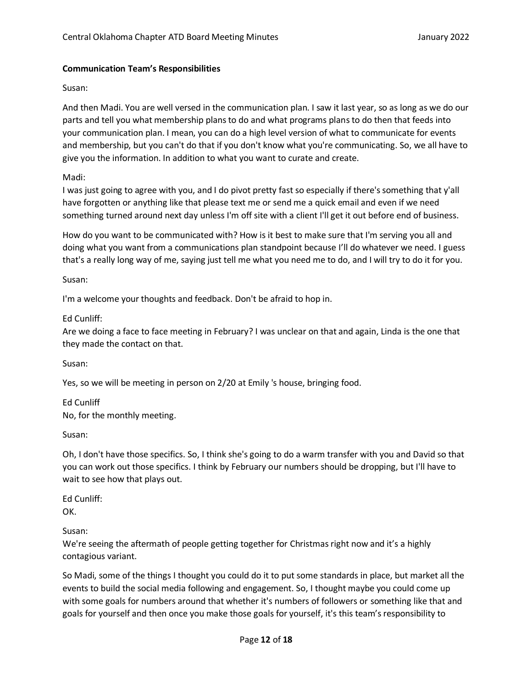# **Communication Team's Responsibilities**

## Susan:

And then Madi. You are well versed in the communication plan. I saw it last year, so as long as we do our parts and tell you what membership plans to do and what programs plansto do then that feeds into your communication plan. I mean, you can do a high level version of what to communicate for events and membership, but you can't do that if you don't know what you're communicating. So, we all have to give you the information. In addition to what you want to curate and create.

# Madi:

I was just going to agree with you, and I do pivot pretty fast so especially if there's something that y'all have forgotten or anything like that please text me or send me a quick email and even if we need something turned around next day unless I'm off site with a client I'll get it out before end of business.

How do you want to be communicated with? How is it best to make sure that I'm serving you all and doing what you want from a communications plan standpoint because I'll do whatever we need. I guess that's a really long way of me, saying just tell me what you need me to do, and I will try to do it for you.

Susan:

I'm a welcome your thoughts and feedback. Don't be afraid to hop in.

Ed Cunliff:

Are we doing a face to face meeting in February? I was unclear on that and again, Linda is the one that they made the contact on that.

Susan:

Yes, so we will be meeting in person on 2/20 at Emily 's house, bringing food.

Ed Cunliff No, for the monthly meeting.

Susan:

Oh, I don't have those specifics. So, I think she's going to do a warm transfer with you and David so that you can work out those specifics. I think by February our numbers should be dropping, but I'll have to wait to see how that plays out.

Ed Cunliff: OK.

Susan:

We're seeing the aftermath of people getting together for Christmas right now and it's a highly contagious variant.

So Madi, some of the things I thought you could do it to put some standards in place, but market all the events to build the social media following and engagement. So, I thought maybe you could come up with some goals for numbers around that whether it's numbers of followers or something like that and goals for yourself and then once you make those goals for yourself, it's this team's responsibility to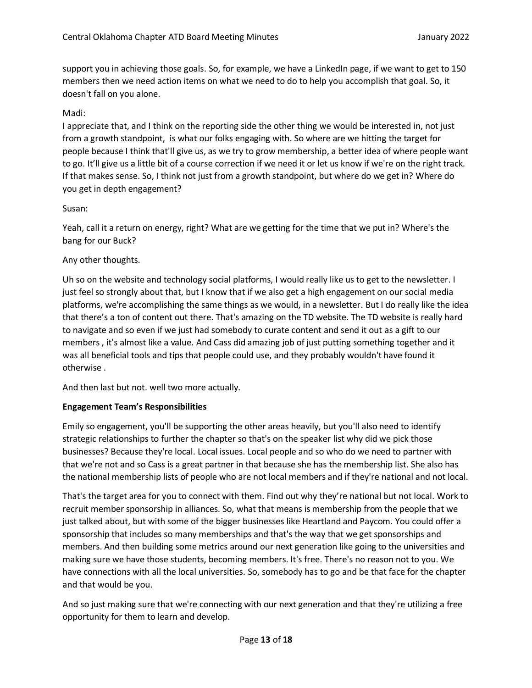support you in achieving those goals. So, for example, we have a LinkedIn page, if we want to get to 150 members then we need action items on what we need to do to help you accomplish that goal. So, it doesn't fall on you alone.

# Madi:

I appreciate that, and I think on the reporting side the other thing we would be interested in, not just from a growth standpoint, is what our folks engaging with. So where are we hitting the target for people because I think that'll give us, as we try to grow membership, a better idea of where people want to go. It'll give us a little bit of a course correction if we need it or let us know if we're on the right track. If that makes sense. So, I think not just from a growth standpoint, but where do we get in? Where do you get in depth engagement?

## Susan:

Yeah, call it a return on energy, right? What are we getting for the time that we put in? Where's the bang for our Buck?

# Any other thoughts.

Uh so on the website and technology social platforms, I would really like us to get to the newsletter. I just feel so strongly about that, but I know that if we also get a high engagement on our social media platforms, we're accomplishing the same things as we would, in a newsletter. But I do really like the idea that there's a ton of content out there. That's amazing on the TD website. The TD website is really hard to navigate and so even if we just had somebody to curate content and send it out as a gift to our members, it's almost like a value. And Cass did amazing job of just putting something together and it was all beneficial tools and tips that people could use, and they probably wouldn't have found it otherwise .

And then last but not. well two more actually.

## **Engagement Team's Responsibilities**

Emily so engagement, you'll be supporting the other areas heavily, but you'll also need to identify strategic relationships to further the chapter so that's on the speaker list why did we pick those businesses? Because they're local. Local issues. Local people and so who do we need to partner with that we're not and so Cass is a great partner in that because she has the membership list. She also has the national membership lists of people who are not local members and if they're national and not local.

That's the target area for you to connect with them. Find out why they're national but not local. Work to recruit member sponsorship in alliances. So, what that means is membership from the people that we just talked about, but with some of the bigger businesses like Heartland and Paycom. You could offer a sponsorship that includes so many memberships and that's the way that we get sponsorships and members. And then building some metrics around our next generation like going to the universities and making sure we have those students, becoming members. It's free. There's no reason not to you. We have connections with all the local universities. So, somebody has to go and be that face for the chapter and that would be you.

And so just making sure that we're connecting with our next generation and that they're utilizing a free opportunity for them to learn and develop.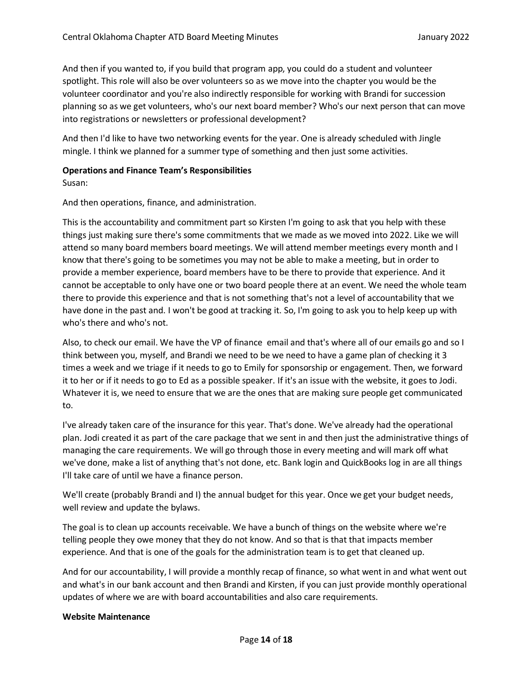And then if you wanted to, if you build that program app, you could do a student and volunteer spotlight. This role will also be over volunteers so as we move into the chapter you would be the volunteer coordinator and you're also indirectly responsible for working with Brandi for succession planning so as we get volunteers, who's our next board member? Who's our next person that can move into registrations or newsletters or professional development?

And then I'd like to have two networking events for the year. One is already scheduled with Jingle mingle. I think we planned for a summer type of something and then just some activities.

# **Operations and Finance Team's Responsibilities**

Susan:

And then operations, finance, and administration.

This is the accountability and commitment part so Kirsten I'm going to ask that you help with these things just making sure there's some commitments that we made as we moved into 2022. Like we will attend so many board members board meetings. We will attend member meetings every month and I know that there's going to be sometimes you may not be able to make a meeting, but in order to provide a member experience, board members have to be there to provide that experience. And it cannot be acceptable to only have one or two board people there at an event. We need the whole team there to provide this experience and that is not something that's not a level of accountability that we have done in the past and. I won't be good at tracking it. So, I'm going to ask you to help keep up with who's there and who's not.

Also, to check our email. We have the VP of finance email and that's where all of our emails go and so I think between you, myself, and Brandi we need to be we need to have a game plan of checking it 3 times a week and we triage if it needs to go to Emily for sponsorship or engagement. Then, we forward it to her or if it needs to go to Ed as a possible speaker. If it's an issue with the website, it goes to Jodi. Whatever it is, we need to ensure that we are the ones that are making sure people get communicated to.

I've already taken care of the insurance for this year. That's done. We've already had the operational plan. Jodi created it as part of the care package that we sent in and then just the administrative things of managing the care requirements. We will go through those in every meeting and will mark off what we've done, make a list of anything that's not done, etc. Bank login and QuickBooks log in are all things I'll take care of until we have a finance person.

We'll create (probably Brandi and I) the annual budget for this year. Once we get your budget needs, well review and update the bylaws.

The goal is to clean up accounts receivable. We have a bunch of things on the website where we're telling people they owe money that they do not know. And so that is that that impacts member experience. And that is one of the goals for the administration team is to get that cleaned up.

And for our accountability, I will provide a monthly recap of finance, so what went in and what went out and what's in our bank account and then Brandi and Kirsten, if you can just provide monthly operational updates of where we are with board accountabilities and also care requirements.

## **Website Maintenance**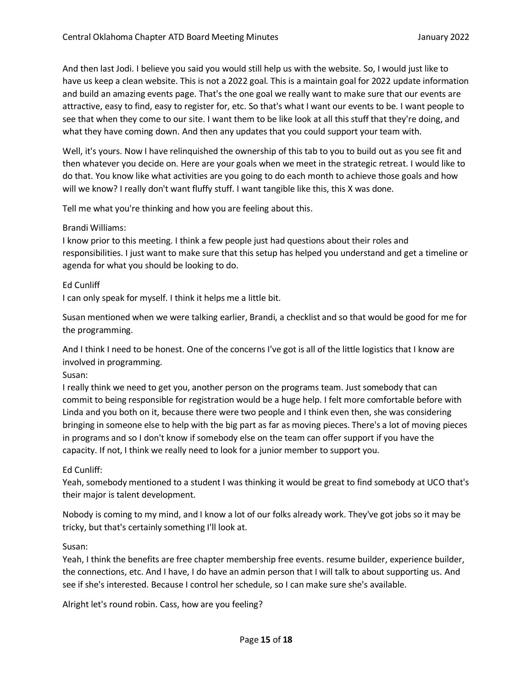And then last Jodi. I believe you said you would still help us with the website. So, I would just like to have us keep a clean website. This is not a 2022 goal. This is a maintain goal for 2022 update information and build an amazing events page. That's the one goal we really want to make sure that our events are attractive, easy to find, easy to register for, etc. So that's what I want our events to be. I want people to see that when they come to our site. I want them to be like look at all this stuff that they're doing, and what they have coming down. And then any updates that you could support your team with.

Well, it's yours. Now I have relinquished the ownership of this tab to you to build out as you see fit and then whatever you decide on. Here are your goals when we meet in the strategic retreat. I would like to do that. You know like what activities are you going to do each month to achieve those goals and how will we know? I really don't want fluffy stuff. I want tangible like this, this X was done.

Tell me what you're thinking and how you are feeling about this.

## Brandi Williams:

I know prior to this meeting. I think a few people just had questions about their roles and responsibilities. I just want to make sure that this setup has helped you understand and get a timeline or agenda for what you should be looking to do.

#### Ed Cunliff

I can only speak for myself. I think it helps me a little bit.

Susan mentioned when we were talking earlier, Brandi, a checklist and so that would be good for me for the programming.

And I think I need to be honest. One of the concerns I've got is all of the little logistics that I know are involved in programming.

## Susan:

I really think we need to get you, another person on the programs team. Just somebody that can commit to being responsible for registration would be a huge help. I felt more comfortable before with Linda and you both on it, because there were two people and I think even then, she was considering bringing in someone else to help with the big part as far as moving pieces. There's a lot of moving pieces in programs and so I don't know if somebody else on the team can offer support if you have the capacity. If not, I think we really need to look for a junior member to support you.

## Ed Cunliff:

Yeah, somebody mentioned to a student I was thinking it would be great to find somebody at UCO that's their major is talent development.

Nobody is coming to my mind, and I know a lot of our folks already work. They've got jobs so it may be tricky, but that's certainly something I'll look at.

## Susan:

Yeah, I think the benefits are free chapter membership free events. resume builder, experience builder, the connections, etc. And I have, I do have an admin person that I will talk to about supporting us. And see if she's interested. Because I control her schedule, so I can make sure she's available.

Alright let's round robin. Cass, how are you feeling?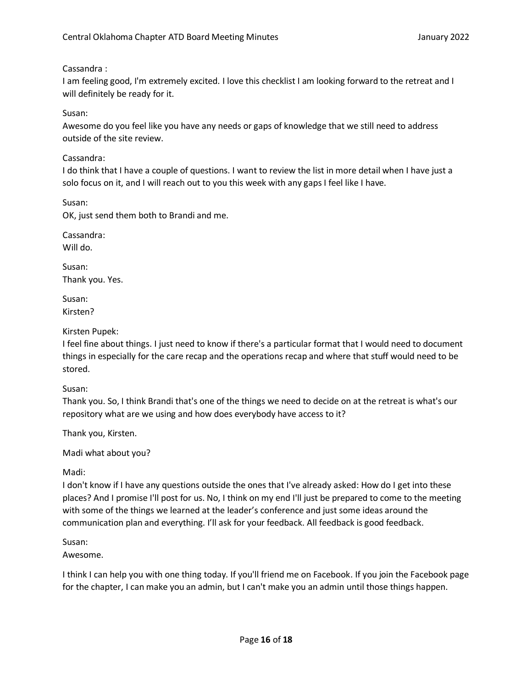# Cassandra :

I am feeling good, I'm extremely excited. I love this checklist I am looking forward to the retreat and I will definitely be ready for it.

# Susan:

Awesome do you feel like you have any needs or gaps of knowledge that we still need to address outside of the site review.

# Cassandra:

I do think that I have a couple of questions. I want to review the list in more detail when I have just a solo focus on it, and I will reach out to you this week with any gaps I feel like I have.

Susan:

OK, just send them both to Brandi and me.

Cassandra:

Will do.

Susan: Thank you. Yes.

Susan: Kirsten?

Kirsten Pupek:

I feel fine about things. I just need to know if there's a particular format that I would need to document things in especially for the care recap and the operations recap and where that stuff would need to be stored.

Susan:

Thank you. So, I think Brandi that's one of the things we need to decide on at the retreat is what's our repository what are we using and how does everybody have access to it?

Thank you, Kirsten.

Madi what about you?

Madi:

I don't know if I have any questions outside the ones that I've already asked: How do I get into these places? And I promise I'll post for us. No, I think on my end I'll just be prepared to come to the meeting with some of the things we learned at the leader's conference and just some ideas around the communication plan and everything. I'll ask for your feedback. All feedback is good feedback.

Susan:

Awesome.

I think I can help you with one thing today. If you'll friend me on Facebook. If you join the Facebook page for the chapter, I can make you an admin, but I can't make you an admin until those things happen.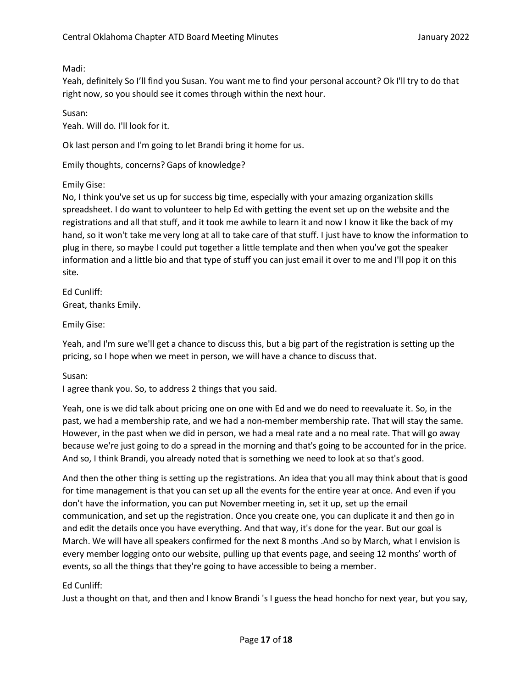Madi:

Yeah, definitely So I'll find you Susan. You want me to find your personal account? Ok I'll try to do that right now, so you should see it comes through within the next hour.

Susan:

Yeah. Will do. I'll look for it.

Ok last person and I'm going to let Brandi bring it home for us.

Emily thoughts, concerns? Gaps of knowledge?

Emily Gise:

No, I think you've set us up for success big time, especially with your amazing organization skills spreadsheet. I do want to volunteer to help Ed with getting the event set up on the website and the registrations and all that stuff, and it took me awhile to learn it and now I know it like the back of my hand, so it won't take me very long at all to take care of that stuff. I just have to know the information to plug in there, so maybe I could put together a little template and then when you've got the speaker information and a little bio and that type of stuff you can just email it over to me and I'll pop it on this site.

Ed Cunliff: Great, thanks Emily.

Emily Gise:

Yeah, and I'm sure we'll get a chance to discuss this, but a big part of the registration is setting up the pricing, so I hope when we meet in person, we will have a chance to discuss that.

Susan:

I agree thank you. So, to address 2 things that you said.

Yeah, one is we did talk about pricing one on one with Ed and we do need to reevaluate it. So, in the past, we had a membership rate, and we had a non-member membership rate. That will stay the same. However, in the past when we did in person, we had a meal rate and a no meal rate. That will go away because we're just going to do a spread in the morning and that's going to be accounted for in the price. And so, I think Brandi, you already noted that is something we need to look at so that's good.

And then the other thing is setting up the registrations. An idea that you all may think about that is good for time management is that you can set up all the events for the entire year at once. And even if you don't have the information, you can put November meeting in, set it up, set up the email communication, and set up the registration. Once you create one, you can duplicate it and then go in and edit the details once you have everything. And that way, it's done for the year. But our goal is March. We will have all speakers confirmed for the next 8 months .And so by March, what I envision is every member logging onto our website, pulling up that events page, and seeing 12 months' worth of events, so all the things that they're going to have accessible to being a member.

# Ed Cunliff:

Just a thought on that, and then and I know Brandi 's I guess the head honcho for next year, but you say,